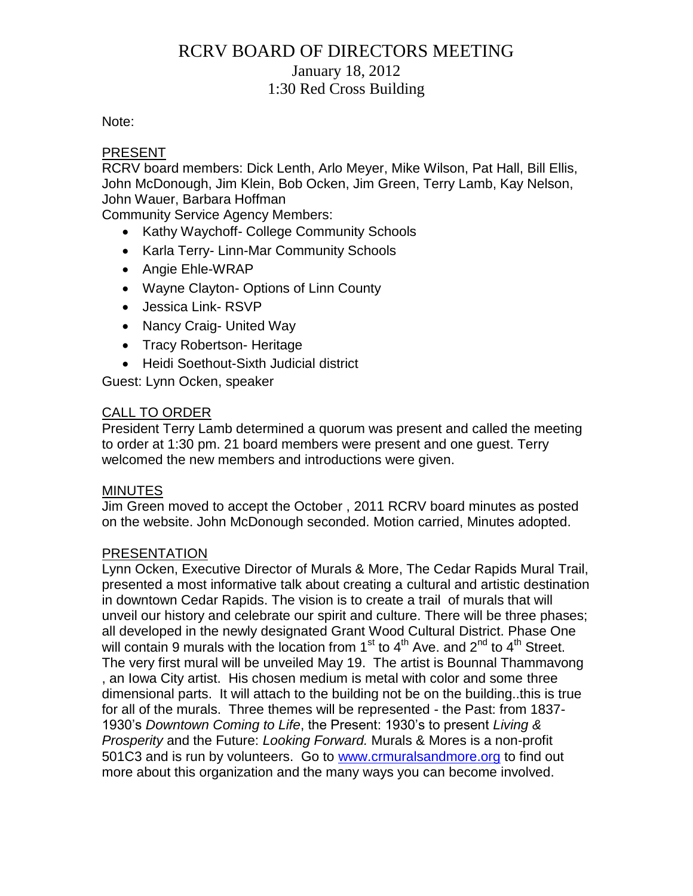# RCRV BOARD OF DIRECTORS MEETING January 18, 2012 1:30 Red Cross Building

### Note:

### PRESENT

RCRV board members: Dick Lenth, Arlo Meyer, Mike Wilson, Pat Hall, Bill Ellis, John McDonough, Jim Klein, Bob Ocken, Jim Green, Terry Lamb, Kay Nelson, John Wauer, Barbara Hoffman

Community Service Agency Members:

- Kathy Waychoff- College Community Schools
- Karla Terry- Linn-Mar Community Schools
- Angie Ehle-WRAP
- Wayne Clayton- Options of Linn County
- Jessica Link- RSVP
- Nancy Craig- United Way
- Tracy Robertson- Heritage
- Heidi Soethout-Sixth Judicial district

Guest: Lynn Ocken, speaker

### CALL TO ORDER

President Terry Lamb determined a quorum was present and called the meeting to order at 1:30 pm. 21 board members were present and one guest. Terry welcomed the new members and introductions were given.

### **MINUTES**

Jim Green moved to accept the October , 2011 RCRV board minutes as posted on the website. John McDonough seconded. Motion carried, Minutes adopted.

#### PRESENTATION

Lynn Ocken, Executive Director of Murals & More, The Cedar Rapids Mural Trail, presented a most informative talk about creating a cultural and artistic destination in downtown Cedar Rapids. The vision is to create a trail of murals that will unveil our history and celebrate our spirit and culture. There will be three phases; all developed in the newly designated Grant Wood Cultural District. Phase One will contain 9 murals with the location from  $1<sup>st</sup>$  to  $4<sup>th</sup>$  Ave. and  $2<sup>nd</sup>$  to  $4<sup>th</sup>$  Street. The very first mural will be unveiled May 19. The artist is Bounnal Thammavong , an Iowa City artist. His chosen medium is metal with color and some three dimensional parts. It will attach to the building not be on the building..this is true for all of the murals. Three themes will be represented - the Past: from 1837- 1930's *Downtown Coming to Life*, the Present: 1930's to present *Living & Prosperity* and the Future: *Looking Forward.* Murals & Mores is a non-profit 501C3 and is run by volunteers. Go to [www.crmuralsandmore.org](http://www.crmuralsandmore.org/) to find out more about this organization and the many ways you can become involved.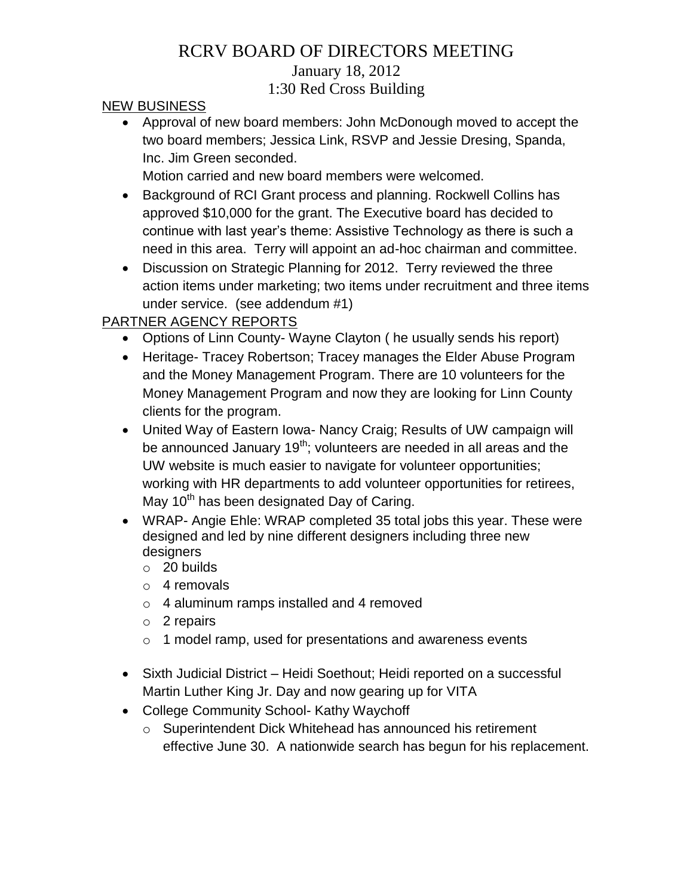# RCRV BOARD OF DIRECTORS MEETING January 18, 2012 1:30 Red Cross Building

### NEW BUSINESS

 Approval of new board members: John McDonough moved to accept the two board members; Jessica Link, RSVP and Jessie Dresing, Spanda, Inc. Jim Green seconded.

Motion carried and new board members were welcomed.

- Background of RCI Grant process and planning. Rockwell Collins has approved \$10,000 for the grant. The Executive board has decided to continue with last year's theme: Assistive Technology as there is such a need in this area. Terry will appoint an ad-hoc chairman and committee.
- Discussion on Strategic Planning for 2012. Terry reviewed the three action items under marketing; two items under recruitment and three items under service. (see addendum #1)

## PARTNER AGENCY REPORTS

- Options of Linn County- Wayne Clayton ( he usually sends his report)
- Heritage- Tracey Robertson; Tracey manages the Elder Abuse Program and the Money Management Program. There are 10 volunteers for the Money Management Program and now they are looking for Linn County clients for the program.
- United Way of Eastern Iowa- Nancy Craig; Results of UW campaign will be announced January  $19<sup>th</sup>$ ; volunteers are needed in all areas and the UW website is much easier to navigate for volunteer opportunities; working with HR departments to add volunteer opportunities for retirees, May  $10<sup>th</sup>$  has been designated Day of Caring.
- WRAP- Angie Ehle: WRAP completed 35 total jobs this year. These were designed and led by nine different designers including three new designers
	- o 20 builds
	- o 4 removals
	- o 4 aluminum ramps installed and 4 removed
	- o 2 repairs
	- o 1 model ramp, used for presentations and awareness events
- Sixth Judicial District Heidi Soethout; Heidi reported on a successful Martin Luther King Jr. Day and now gearing up for VITA
- College Community School- Kathy Waychoff
	- o Superintendent Dick Whitehead has announced his retirement effective June 30. A nationwide search has begun for his replacement.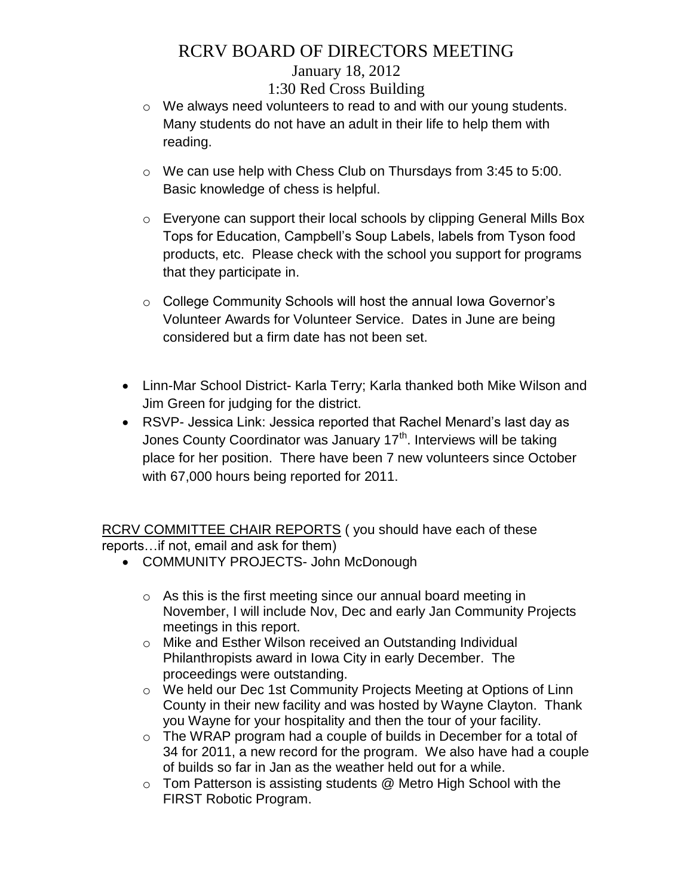# RCRV BOARD OF DIRECTORS MEETING

## January 18, 2012

### 1:30 Red Cross Building

- o We always need volunteers to read to and with our young students. Many students do not have an adult in their life to help them with reading.
- o We can use help with Chess Club on Thursdays from 3:45 to 5:00. Basic knowledge of chess is helpful.
- o Everyone can support their local schools by clipping General Mills Box Tops for Education, Campbell's Soup Labels, labels from Tyson food products, etc. Please check with the school you support for programs that they participate in.
- o College Community Schools will host the annual Iowa Governor's Volunteer Awards for Volunteer Service. Dates in June are being considered but a firm date has not been set.
- Linn-Mar School District- Karla Terry; Karla thanked both Mike Wilson and Jim Green for judging for the district.
- RSVP- Jessica Link: Jessica reported that Rachel Menard's last day as Jones County Coordinator was January 17<sup>th</sup>. Interviews will be taking place for her position. There have been 7 new volunteers since October with 67,000 hours being reported for 2011.

RCRV COMMITTEE CHAIR REPORTS ( you should have each of these reports…if not, email and ask for them)

- COMMUNITY PROJECTS- John McDonough
	- $\circ$  As this is the first meeting since our annual board meeting in November, I will include Nov, Dec and early Jan Community Projects meetings in this report.
	- o Mike and Esther Wilson received an Outstanding Individual Philanthropists award in Iowa City in early December. The proceedings were outstanding.
	- o We held our Dec 1st Community Projects Meeting at Options of Linn County in their new facility and was hosted by Wayne Clayton. Thank you Wayne for your hospitality and then the tour of your facility.
	- o The WRAP program had a couple of builds in December for a total of 34 for 2011, a new record for the program. We also have had a couple of builds so far in Jan as the weather held out for a while.
	- o Tom Patterson is assisting students @ Metro High School with the FIRST Robotic Program.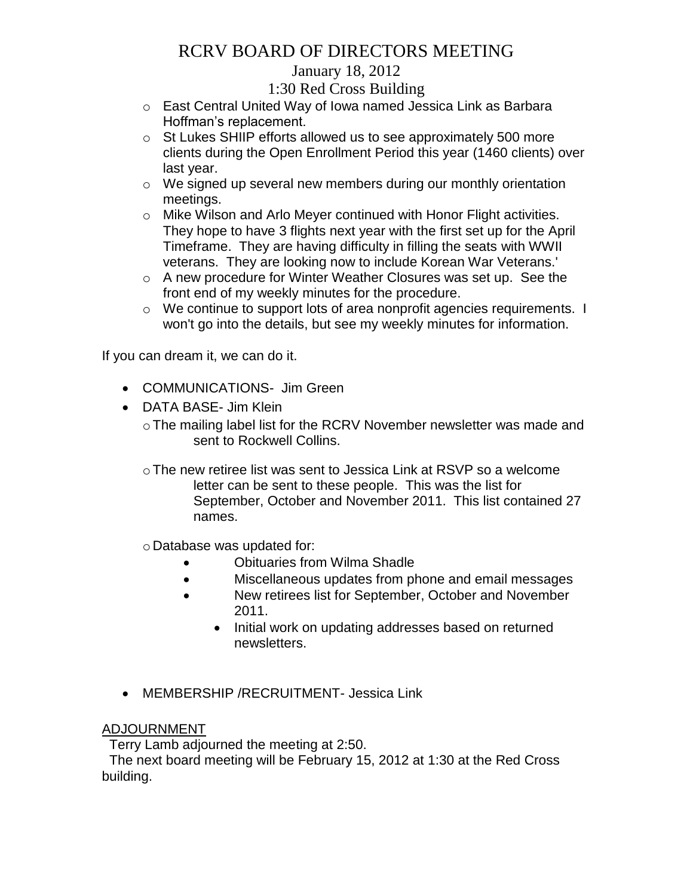# RCRV BOARD OF DIRECTORS MEETING

## January 18, 2012

## 1:30 Red Cross Building

- o East Central United Way of Iowa named Jessica Link as Barbara Hoffman's replacement.
- o St Lukes SHIIP efforts allowed us to see approximately 500 more clients during the Open Enrollment Period this year (1460 clients) over last year.
- o We signed up several new members during our monthly orientation meetings.
- o Mike Wilson and Arlo Meyer continued with Honor Flight activities. They hope to have 3 flights next year with the first set up for the April Timeframe. They are having difficulty in filling the seats with WWII veterans. They are looking now to include Korean War Veterans.'
- o A new procedure for Winter Weather Closures was set up. See the front end of my weekly minutes for the procedure.
- o We continue to support lots of area nonprofit agencies requirements. I won't go into the details, but see my weekly minutes for information.

If you can dream it, we can do it.

- COMMUNICATIONS- Jim Green
- DATA BASE- Jim Klein
	- o The mailing label list for the RCRV November newsletter was made and sent to Rockwell Collins.
	- oThe new retiree list was sent to Jessica Link at RSVP so a welcome letter can be sent to these people. This was the list for September, October and November 2011. This list contained 27 names.
	- o Database was updated for:
		- Obituaries from Wilma Shadle
		- Miscellaneous updates from phone and email messages
		- New retirees list for September, October and November 2011.
			- Initial work on updating addresses based on returned newsletters.
- MEMBERSHIP /RECRUITMENT- Jessica Link

### ADJOURNMENT

Terry Lamb adjourned the meeting at 2:50.

 The next board meeting will be February 15, 2012 at 1:30 at the Red Cross building.